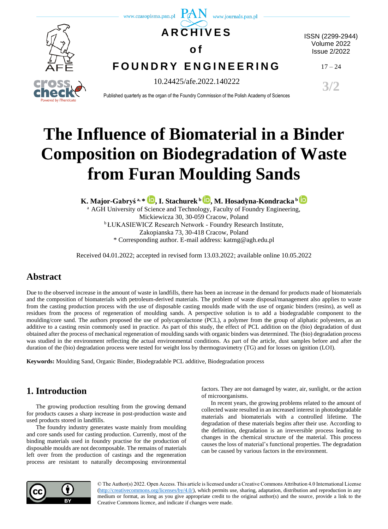

# **The Influence of Biomaterial in a Binder Composition on Biodegradation of Waste from Furan Moulding Sands**

**K. Major-Gabryś a, \* [,](https://orcid.org/0000-0003-1956-9734) I. Stachurek <sup>b</sup> [,](https://orcid.org/0000-0002-4788-9455) M. Hosadyna-Kondracka <sup>b</sup>**

<sup>a</sup> AGH University of Science and Technology, Faculty of Foundry Engineering, Mickiewicza 30, 30-059 Cracow, Poland <sup>b</sup> ŁUKASIEWICZ Research Network - Foundry Research Institute, Zakopianska 73, 30-418 Cracow, Poland \* Corresponding author. E-mail address: katmg@agh.edu.pl

Received 04.01.2022; accepted in revised form 13.03.2022; available online 10.05.2022

# **Abstract**

Due to the observed increase in the amount of waste in landfills, there has been an increase in the demand for products made of biomaterials and the composition of biomaterials with petroleum-derived materials. The problem of waste disposal/management also applies to waste from the casting production process with the use of disposable casting moulds made with the use of organic binders (resins), as well as residues from the process of regeneration of moulding sands. A perspective solution is to add a biodegradable component to the moulding/core sand. The authors proposed the use of polycaprolactone (PCL), a polymer from the group of aliphatic polyesters, as an additive to a casting resin commonly used in practice. As part of this study, the effect of PCL addition on the (bio) degradation of dust obtained after the process of mechanical regeneration of moulding sands with organic binders was determined. The (bio) degradation process was studied in the environment reflecting the actual environmental conditions. As part of the article, dust samples before and after the duration of the (bio) degradation process were tested for weight loss by thermogravimetry (TG) and for losses on ignition (LOI).

**Keywords:** Moulding Sand, Organic Binder, Biodegradable PCL additive, Biodegradation process

# **1. Introduction**

The growing production resulting from the growing demand for products causes a sharp increase in post-production waste and used products stored in landfills.

The foundry industry generates waste mainly from moulding and core sands used for casting production. Currently, most of the binding materials used in foundry practise for the production of disposable moulds are not decomposable. The remains of materials left over from the production of castings and the regeneration process are resistant to naturally decomposing environmental

factors. They are not damaged by water, air, sunlight, or the action of microorganisms.

In recent years, the growing problems related to the amount of collected waste resulted in an increased interest in photodegradable materials and biomaterials with a controlled lifetime. The degradation of these materials begins after their use. According to the definition, degradation is an irreversible process leading to changes in the chemical structure of the material. This process causes the loss of material's functional properties. The degradation can be caused by various factors in the environment.



© The Author(s) 2022. Open Access. This article is licensed under a Creative Commons Attribution 4.0 International License [\(http://creativecommons.org/licenses/by/4.0/\)](http://creativecommons.org/licenses/by/4.0/), which permits use, sharing, adaptation, distribution and reproduction in any medium or format, as long as you give appropriate credit to the original author(s) and the source, provide a link to the Creative Commons licence, and indicate if changes were made.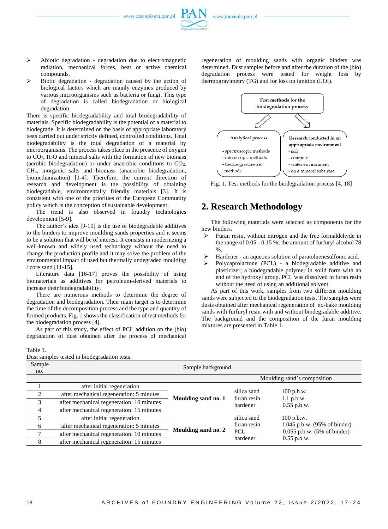- ➢ Abiotic degradation degradation due to electromagnetic radiation, mechanical forces, heat or active chemical compounds.
- ➢ Biotic degradation degradation caused by the action of biological factors which are mainly enzymes produced by various microorganisms such as bacteria or fungi. This type of degradation is called biodegradation or biological degradation.

There is specific biodegradability and total biodegradability of materials. Specific biodegradability is the potential of a material to biodegrade. It is determined on the basis of appropriate laboratory tests carried out under strictly defined, controlled conditions. Total biodegradability is the total degradation of a material by microorganisms. The process takes place in the presence of oxygen to CO2, H2O and mineral salts with the formation of new biomass (aerobic biodegradation) or under anaerobic conditions to CO2, CH4, inorganic salts and biomass (anaerobic biodegradation, biomethanization) [1-4]. Therefore, the current direction of research and development is the possibility of obtaining biodegradable, environmentally friendly materials [3]. It is consistent with one of the priorities of the European Community policy which is the conception of sustainable development.

The trend is also observed in foundry technologies development [5-9].

The author's idea [9-10] is the use of biodegradable additives to the binders to improve moulding sands properties and it seems to be a solution that will be of interest. It consists in modernizing a well-known and widely used technology without the need to change the production profile and it may solve the problem of the environmental impact of used but thermally undegraded moulding / core sand [11-15].

Literature data [16-17] proves the possibility of using biomaterials as additives for petroleum-derived materials to increase their biodegradability.

There are numerous methods to determine the degree of degradation and biodegradation. Their main target is to determine the time of the decomposition process and the type and quantity of formed products. Fig. 1 shows the classification of test methods for the biodegradation process [4].

As part of this study, the effect of PCL addition on the (bio) degradation of dust obtained after the process of mechanical regeneration of moulding sands with organic binders was determined. Dust samples before and after the duration of the (bio) degradation process were tested for weight loss by thermogravimetry (TG) and for loss on ignition (LOI).



Fig. 1. Test methods for the biodegradation process [4, 18]

## **2. Research Methodology**

The following materials were selected as components for the new binders.

- ➢ Furan resin, without nitrogen and the free formaldehyde in the range of 0.05 - 0.15 %; the amount of furfuryl alcohol 78  $\%$ .
- Hardener an aqueous solution of paratoluenesulfonic acid.
- Polycaprolactone (PCL) a biodegradable additive and plasticizer; a biodegradable polymer in solid form with an end of the hydroxyl group. PCL was dissolved in furan resin without the need of using an additional solvent.

As part of this work, samples from two different moulding sands were subjected to the biodegradation tests. The samples were dusts obtained after mechanical regeneration of no-bake moulding sands with furfuryl resin with and without biodegradable additive. The background and the composition of the furan moulding mixtures are presented in Table 1.

#### Table 1.

Dust samples tested in biodegradation tests.

| Sample<br>no. | Sample background                         |                     |                                        |                                                           |  |
|---------------|-------------------------------------------|---------------------|----------------------------------------|-----------------------------------------------------------|--|
|               |                                           |                     |                                        | Moulding sand's composition                               |  |
|               | after initial regeneration                | Moulding sand no. 1 | silica sand<br>furan resin<br>hardener | $100$ p.b.w.<br>$1.1$ p.b.w.<br>$0.55$ p.b.w.             |  |
| ∍             | after mechanical regeneration: 5 minutes  |                     |                                        |                                                           |  |
|               | after mechanical regeneration: 10 minutes |                     |                                        |                                                           |  |
|               | after mechanical regeneration: 15 minutes |                     |                                        |                                                           |  |
|               | after initial regeneration                | Moulding sand no. 2 | silica sand                            | $100$ p.b.w.                                              |  |
| 6             | after mechanical regeneration: 5 minutes  |                     | furan resin                            | 1.045 p.b.w. (95% of binder)                              |  |
|               | after mechanical regeneration: 10 minutes |                     | PCL<br>hardener                        | $0.055$ p.b.w. $(5\% \text{ of binder})$<br>$0.55$ p.b.w. |  |
| 8             | after mechanical regeneration: 15 minutes |                     |                                        |                                                           |  |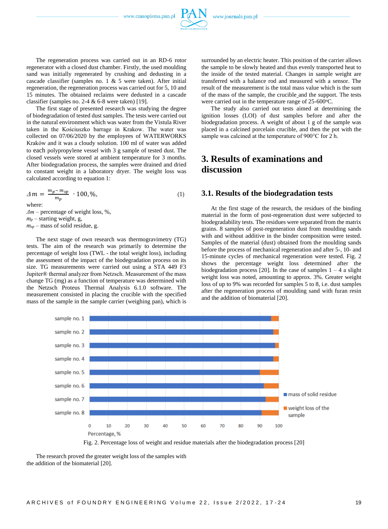

The first stage of presented research was studying the degree of biodegradation of tested dust samples. The tests were carried out in the natural environment which was water from the Vistula River taken in the Kościuszko barrage in Krakow. The water was collected on 07/06/2020 by the employees of WATERWORKS Kraków and it was a cloudy solution. 100 ml of water was added to each polypropylene vessel with 3 g sample of tested dust. The closed vessels were stored at ambient temperature for 3 months. After biodegradation process, the samples were drained and dried to constant weight in a laboratory dryer. The weight loss was calculated according to equation 1:

$$
\Delta m = \frac{m_p - m_{sp}}{m_p} \cdot 100, \% \tag{1}
$$

where:

*Δm* – percentage of weight loss, %,  $m_p$  – starting weight, g, *msp* – mass of solid residue, g.

The next stage of own research was thermogravimetry (TG) tests. The aim of the research was primarily to determine the percentage of weight loss (TWL - the total weight loss), including the assessment of the impact of the biodegradation process on its size. TG measurements were carried out using a STA 449 F3 Jupiter® thermal analyzer from Netzsch. Measurement of the mass change TG (mg) as a function of temperature was determined with the Netzsch Proteus Thermal Analysis 6.1.0 software. The measurement consisted in placing the crucible with the specified mass of the sample in the sample carrier (weighing pan), which is surrounded by an electric heater. This position of the carrier allows the sample to be slowly heated and thus evenly transported heat to the inside of the tested material. Changes in sample weight are transferred with a balance rod and measured with a sensor. The result of the measurement is the total mass value which is the sum of the mass of the sample, the crucible and the support. The tests were carried out in the temperature range of 25-600°C.

The study also carried out tests aimed at determining the ignition losses (LOI) of dust samples before and after the biodegradation process. A weight of about 1 g of the sample was placed in a calcined porcelain crucible, and then the pot with the sample was calcined at the temperature of 900°C for 2 h.

# **3. Results of examinations and discussion**

#### **3.1. Results of the biodegradation tests**

At the first stage of the research, the residues of the binding material in the form of post-regeneration dust were subjected to biodegradability tests. The residues were separated from the matrix grains. 8 samples of post-regeneration dust from moulding sands with and without additive in the binder composition were tested. Samples of the material (dust) obtained from the moulding sands before the process of mechanical regeneration and after 5-, 10- and 15-minute cycles of mechanical regeneration were tested. Fig. 2 shows the percentage weight loss determined after the biodegradation process [20]. In the case of samples  $1 - 4$  a slight weight loss was noted, amounting to approx. 3%. Greater weight loss of up to 9% was recorded for samples 5 to 8, i.e. dust samples after the regeneration process of moulding sand with furan resin and the addition of biomaterial [20].



Fig. 2. Percentage loss of weight and residue materials after the biodegradation process [20]

The research proved the greater weight loss of the samples with the addition of the biomaterial [20].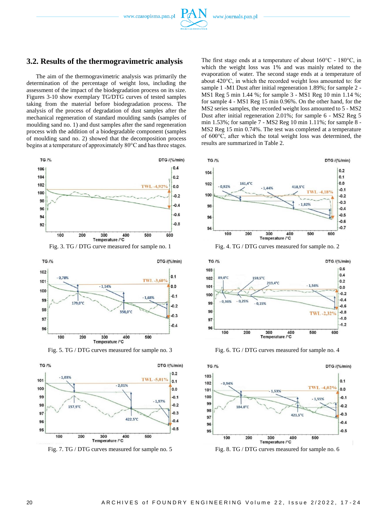

#### **3.2. Results of the thermogravimetric analysis**

The aim of the thermogravimetric analysis was primarily the determination of the percentage of weight loss, including the assessment of the impact of the biodegradation process on its size. Figures 3-10 show exemplary TG/DTG curves of tested samples taking from the material before biodegradation process. The analysis of the process of degradation of dust samples after the mechanical regeneration of standard moulding sands (samples of moulding sand no. 1) and dust samples after the sand regeneration process with the addition of a biodegradable component (samples of moulding sand no. 2) showed that the decomposition process begins at a temperature of approximately 80°C and has three stages.







Fig. 7. TG / DTG curves measured for sample no. 5 Fig. 8. TG / DTG curves measured for sample no. 6

The first stage ends at a temperature of about 160°C - 180°C, in which the weight loss was 1% and was mainly related to the evaporation of water. The second stage ends at a temperature of about 420°C, in which the recorded weight loss amounted to: for sample 1 -M1 Dust after initial regeneration 1.89%; for sample 2 - MS1 Reg 5 min 1.44 %; for sample 3 - MS1 Reg 10 min 1.14 %; for sample 4 - MS1 Reg 15 min 0.96%. On the other hand, for the MS2 series samples, the recorded weight loss amounted to 5 - MS2 Dust after initial regeneration 2.01%; for sample 6 - MS2 Reg 5 min 1.53%; for sample 7 - MS2 Reg 10 min 1.11%; for sample 8 - MS2 Reg 15 min 0.74%. The test was completed at a temperature of 600°C, after which the total weight loss was determined, the results are summarized in Table 2.



Fig. 3. TG / DTG curve measured for sample no. 1 Fig. 4. TG / DTG curves measured for sample no. 2



Fig. 5. TG / DTG curves measured for sample no. 3 Fig. 6. TG / DTG curves measured for sample no. 4

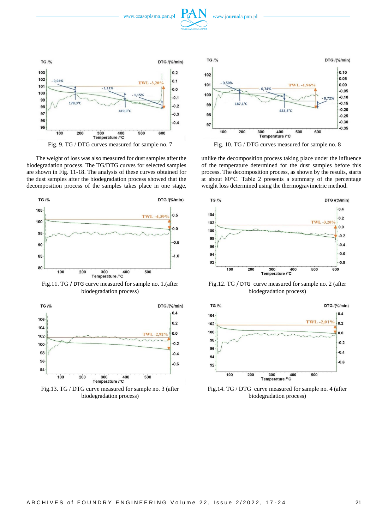



The weight of loss was also measured for dust samples after the biodegradation process. The TG/DTG curves for selected samples are shown in Fig. 11-18. The analysis of these curves obtained for the dust samples after the biodegradation process showed that the decomposition process of the samples takes place in one stage,



Fig.11. TG / DTG curve measured for sample no. 1.(after biodegradation process)



biodegradation process)



unlike the decomposition process taking place under the influence of the temperature determined for the dust samples before this process. The decomposition process, as shown by the results, starts at about 80°C. Table 2 presents a summary of the percentage weight loss determined using the thermogravimetric method.



Fig.12. TG / DTG curve measured for sample no. 2 (after biodegradation process)



Fig.14. TG / DTG curve measured for sample no. 4 (after biodegradation process)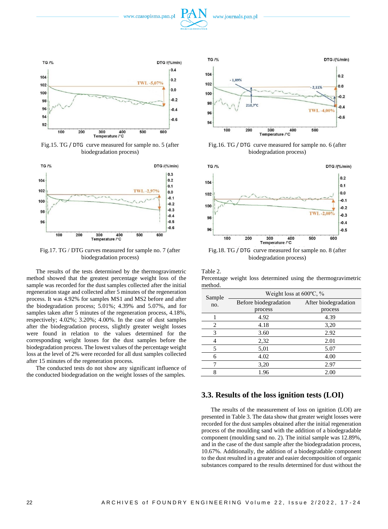



Fig.15. TG / DTG curve measured for sample no. 5 (after biodegradation process)



Fig.17. TG / DTG curves measured for sample no. 7 (after biodegradation process)

The results of the tests determined by the thermogravimetric method showed that the greatest percentage weight loss of the sample was recorded for the dust samples collected after the initial regeneration stage and collected after 5 minutes of the regeneration process. It was 4.92% for samples MS1 and MS2 before and after the biodegradation process; 5.01%; 4.39% and 5.07%, and for samples taken after 5 minutes of the regeneration process, 4.18%, respectively; 4.02%; 3.20%; 4.00%. In the case of dust samples after the biodegradation process, slightly greater weight losses were found in relation to the values determined for the corresponding weight losses for the dust samples before the biodegradation process. The lowest values of the percentage weight loss at the level of 2% were recorded for all dust samples collected after 15 minutes of the regeneration process.

The conducted tests do not show any significant influence of the conducted biodegradation on the weight losses of the samples.



Fig.16. TG / DTG curve measured for sample no. 6 (after biodegradation process)



Fig.18. TG / DTG curve measured for sample no. 8 (after biodegradation process)

Table 2.

Percentage weight loss determined using the thermogravimetric method.

| Sample | Weight loss at $600^{\circ}$ C, % |                      |  |
|--------|-----------------------------------|----------------------|--|
| no.    | Before biodegradation             | After biodegradation |  |
|        | process                           | process              |  |
|        | 4.92                              | 4.39                 |  |
| 2      | 4.18                              | 3,20                 |  |
| 3      | 3.60                              | 2.92                 |  |
| 4      | 2,32                              | 2.01                 |  |
| 5      | 5,01                              | 5.07                 |  |
| 6      | 4.02                              | 4.00                 |  |
|        | 3,20                              | 2.97                 |  |
|        | 1.96                              | 2.00                 |  |

#### **3.3. Results of the loss ignition tests (LOI)**

The results of the measurement of loss on ignition (LOI) are presented in Table 3. The data show that greater weight losses were recorded for the dust samples obtained after the initial regeneration process of the moulding sand with the addition of a biodegradable component (moulding sand no. 2). The initial sample was 12.89%, and in the case of the dust sample after the biodegradation process, 10.67%. Additionally, the addition of a biodegradable component to the dust resulted in a greater and easier decomposition of organic substances compared to the results determined for dust without the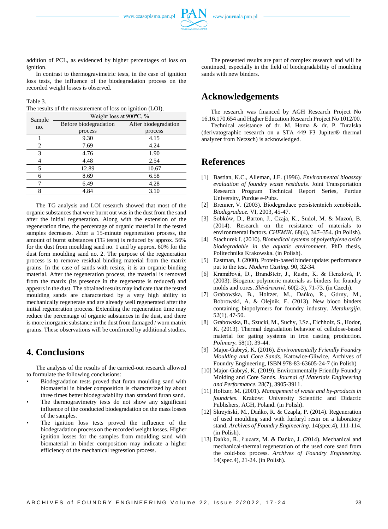addition of PCL, as evidenced by higher percentages of loss on ignition.

In contrast to thermogravimetric tests, in the case of ignition loss tests, the influence of the biodegradation process on the recorded weight losses is observed.

Table 3.

The results of the measurement of loss on ignition (LOI).

| Sample | Weight loss at 900°C, % |                      |  |
|--------|-------------------------|----------------------|--|
| no.    | Before biodegradation   | After biodegradation |  |
|        | process                 | process              |  |
|        | 9.30                    | 4.15                 |  |
| 2      | 7.69                    | 4.24                 |  |
| 3      | 4.76                    | 1.90                 |  |
| 4      | 4.48                    | 2.54                 |  |
| 5      | 12.89                   | 10.67                |  |
| 6      | 8.69                    | 6.58                 |  |
|        | 6.49                    | 4.28                 |  |
| 8      | 4.84                    | 3.10                 |  |

The TG analysis and LOI research showed that most of the organic substances that were burnt out was in the dust from the sand after the initial regeneration. Along with the extension of the regeneration time, the percentage of organic material in the tested samples decreases. After a 15-minute regeneration process, the amount of burnt substances (TG tests) is reduced by approx. 56% for the dust from moulding sand no. 1 and by approx. 60% for the dust form moulding sand no. 2. The purpose of the regeneration process is to remove residual binding material from the matrix grains. In the case of sands with resins, it is an organic binding material. After the regeneration process, the material is removed from the matrix (its presence in the regenerate is reduced) and appears in the dust. The obtained results may indicate that the tested moulding sands are characterized by a very high ability to mechanically regenerate and are already well regenerated after the initial regeneration process. Extending the regeneration time may reduce the percentage of organic substances in the dust, and there is more inorganic substance in the dust from damaged / worn matrix grains. These observations will be confirmed by additional studies.

## **4. Conclusions**

The analysis of the results of the carried-out research allowed to formulate the following conclusions:

- Biodegradation tests proved that furan moulding sand with biomaterial in binder composition is characterized by about three times better biodegradability than standard furan sand.
- The thermogravimetry tests do not show any significant influence of the conducted biodegradation on the mass losses of the samples.
- The ignition loss tests proved the influence of the biodegradation process on the recorded weight losses. Higher ignition losses for the samples from moulding sand with biomaterial in binder composition may indicate a higher efficiency of the mechanical regression process.

The presented results are part of complex research and will be continued, especially in the field of biodegradability of moulding sands with new binders.

## **Acknowledgements**

The research was financed by AGH Research Project No 16.16.170.654 and Higher Education Research Project No 1012/00.

Technical assistance of dr. M. Homa & dr. P. Turalska (derivatographic research on a STA 449 F3 Jupiter® thermal analyzer from Netzsch) is acknowledged.

## **References**

- [1] Bastian, K.C., Alleman, J.E. (1996). *Environmental bioassay evaluation of foundry waste residuals.* Joint Transportation Research Program Technical Report Series, Purdue University, Purdue e-Pubs.
- [2] Brenner, V. (2003). Biodegradace persistentních xenobiotik. *Biodegradace.* VI, 2003, 45-47.
- [3] Sobków, D., Barton, J., Czaja, K., Sudoł, M. & Mazoń, B. (2014). Research on the resistance of materials to environmental factors. *CHEMIK*. 68(4), 347–354. (in Polish).
- [4] Stachurek I. (2010). *Biomedical systems of polyethylene oxide biodegradable in the aquatic environment*. PhD thesis, Politechnika Krakowska. (in Polish).
- [5] Eastman, J. (2000). Protein-based binder update: performance put to the test. *Modern Casting*. 90, 32-34.
- [6] Kramářová, D., Brandštetr, J., Rusín, K. & Henzlová, P. (2003). Biogenic polymeric materials as binders for foundry molds and cores. *Slévárenství.* 60(2-3), 71-73. (in Czech).
- [7] Grabowska, B., Holtzer, M., Dańko, R., Górny, M., Bobrowski, A. & Olejnik, E. (2013). New bioco binders containing biopolymers for foundry industry. *Metalurgija*. 52(1), 47-50.
- [8] Grabowska, B., Szucki, M., Suchy, J.Sz., Eichholz, S., Hodor, K. (2013). Thermal degradation behavior of cellulose-based material for gating systems in iron casting production. *Polimery.* 58(1), 39-44.
- [9] Major-Gabryś, K. (2016). *Environmentally Friendly Foundry Moulding and Core Sands.* Katowice-Gliwice, Archives of Foundry Engineering, ISBN 978-83-63605-24-7 (in Polish)
- [10] Major-Gabryś, K. (2019). Environmentally Friendly Foundry Molding and Core Sands. *Journal of Materials Engineering and Performance.* 28(7), 3905-3911.
- [11] Holtzer, M. (2001). *Management of waste and by-products in foundries.* Kraków: University Scientific and Didactic Publishers, AGH, Poland. (in Polish).
- [12] Skrzyński, M., Dańko, R. & Czapla, P. (2014). Regeneration of used moulding sand with furfuryl resin on a laboratory stand. *Archives of Foundry Engineering.* 14(spec.4), 111-114. (in Polish).
- [13] Dańko, R., Łucarz, M. & Dańko, J. (2014). Mechanical and mechanical-thermal regeneration of the used core sand from the cold-box process. *Archives of Foundry Engineering*. 14(spec.4), 21-24. (in Polish).